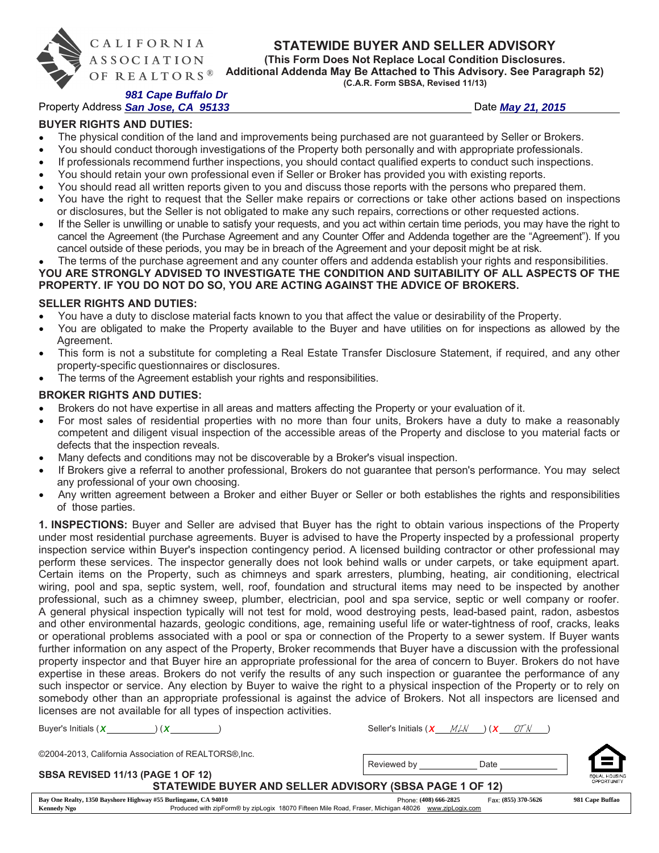

# CALIFORNIA **ASSOCIATION** OF REALTORS<sup>®</sup>

# STATEWIDE BUYER AND SELLER ADVISORY

(This Form Does Not Replace Local Condition Disclosures. Additional Addenda May Be Attached to This Advisory. See Paragraph 52) (C.A.R. Form SBSA, Revised 11/13)

# *981 Cape Buffalo Dr*

Property Address Date *San Jose, CA 95133 May 21, 2015*

## BUYER RIGHTS AND DUTIES:

- The physical condition of the land and improvements being purchased are not guaranteed by Seller or Brokers.
- You should conduct thorough investigations of the Property both personally and with appropriate professionals.
- If professionals recommend further inspections, you should contact qualified experts to conduct such inspections.
- You should retain your own professional even if Seller or Broker has provided you with existing reports.
- You should read all written reports given to you and discuss those reports with the persons who prepared them.
- You have the right to request that the Seller make repairs or corrections or take other actions based on inspections or disclosures, but the Seller is not obligated to make any such repairs, corrections or other requested actions.
- If the Seller is unwilling or unable to satisfy your requests, and you act within certain time periods, you may have the right to cancel the Agreement (the Purchase Agreement and any Counter Offer and Addenda together are the "Agreement"). If you cancel outside of these periods, you may be in breach of the Agreement and your deposit might be at risk.

#### The terms of the purchase agreement and any counter offers and addenda establish your rights and responsibilities. YOU ARE STRONGLY ADVISED TO INVESTIGATE THE CONDITION AND SUITABILITY OF ALL ASPECTS OF THE PROPERTY. IF YOU DO NOT DO SO, YOU ARE ACTING AGAINST THE ADVICE OF BROKERS.

## SELLER RIGHTS AND DUTIES:

- You have a duty to disclose material facts known to you that affect the value or desirability of the Property.
- You are obligated to make the Property available to the Buyer and have utilities on for inspections as allowed by the Agreement.
- This form is not a substitute for completing a Real Estate Transfer Disclosure Statement, if required, and any other property-specific questionnaires or disclosures.
- The terms of the Agreement establish your rights and responsibilities.

# BROKER RIGHTS AND DUTIES:

- Brokers do not have expertise in all areas and matters affecting the Property or your evaluation of it.
- For most sales of residential properties with no more than four units, Brokers have a duty to make a reasonably competent and diligent visual inspection of the accessible areas of the Property and disclose to you material facts or defects that the inspection reveals.
- Many defects and conditions may not be discoverable by a Broker's visual inspection.
- If Brokers give a referral to another professional, Brokers do not guarantee that person's performance. You may select any professional of your own choosing.
- Any written agreement between a Broker and either Buyer or Seller or both establishes the rights and responsibilities of those parties.

1. INSPECTIONS: Buyer and Seller are advised that Buyer has the right to obtain various inspections of the Property under most residential purchase agreements. Buyer is advised to have the Property inspected by a professional property inspection service within Buyer's inspection contingency period. A licensed building contractor or other professional may perform these services. The inspector generally does not look behind walls or under carpets, or take equipment apart. Certain items on the Property, such as chimneys and spark arresters, plumbing, heating, air conditioning, electrical wiring, pool and spa, septic system, well, roof, foundation and structural items may need to be inspected by another professional, such as a chimney sweep, plumber, electrician, pool and spa service, septic or well company or roofer. A general physical inspection typically will not test for mold, wood destroying pests, lead-based paint, radon, asbestos and other environmental hazards, geologic conditions, age, remaining useful life or water-tightness of roof, cracks, leaks or operational problems associated with a pool or spa or connection of the Property to a sewer system. If Buyer wants further information on any aspect of the Property, Broker recommends that Buyer have a discussion with the professional property inspector and that Buyer hire an appropriate professional for the area of concern to Buyer. Brokers do not have expertise in these areas. Brokers do not verify the results of any such inspection or guarantee the performance of any such inspector or service. Any election by Buyer to waive the right to a physical inspection of the Property or to rely on somebody other than an appropriate professional is against the advice of Brokers. Not all inspectors are licensed and licenses are not available for all types of inspection activities.

Buyer's Initials ( ) ( ) Seller's Initials ( ) ( ) *X X X X MLN OTN*

| ©2004-2013, California Association of REALTORS®, Inc.                                                                                                                                       | Reviewed by           | Date                |                                     |
|---------------------------------------------------------------------------------------------------------------------------------------------------------------------------------------------|-----------------------|---------------------|-------------------------------------|
| <b>SBSA REVISED 11/13 (PAGE 1 OF 12)</b><br>STATEWIDE BUYER AND SELLER ADVISORY (SBSA PAGE 1 OF 12)                                                                                         |                       |                     | EQUAL HOUSING<br><b>OPPORTUNITY</b> |
| Bay One Realty, 1350 Bayshore Highway #55 Burlingame, CA 94010<br>Produced with zipForm® by zipLogix 18070 Fifteen Mile Road, Fraser, Michigan 48026 www.zipLogix.com<br><b>Kennedy Ngo</b> | Phone: (408) 666-2825 | Fax: (855) 370-5626 | 981 Cape Buffao                     |
|                                                                                                                                                                                             |                       |                     |                                     |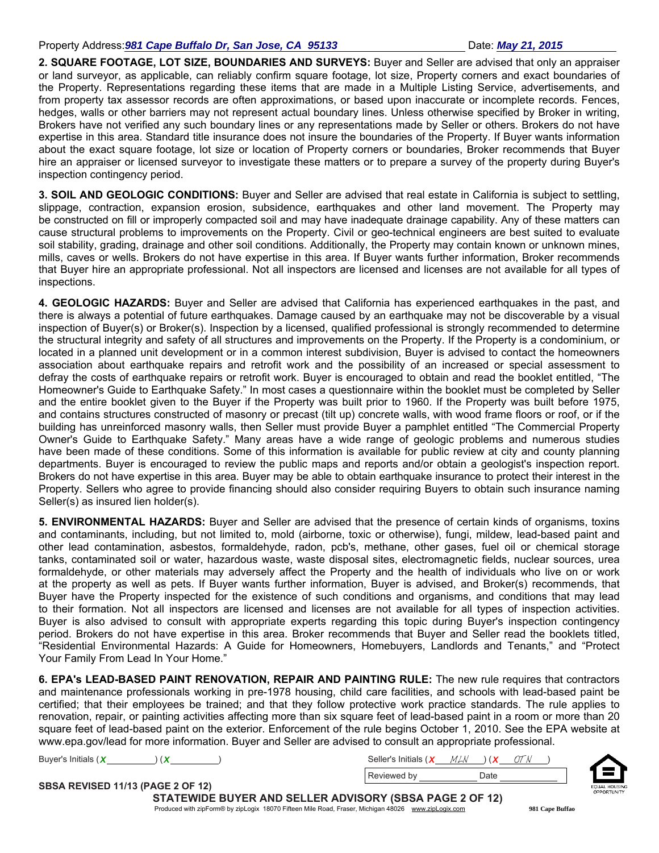2. SQUARE FOOTAGE, LOT SIZE, BOUNDARIES AND SURVEYS: Buyer and Seller are advised that only an appraiser or land surveyor, as applicable, can reliably confirm square footage, lot size, Property corners and exact boundaries of the Property. Representations regarding these items that are made in a Multiple Listing Service, advertisements, and from property tax assessor records are often approximations, or based upon inaccurate or incomplete records. Fences, hedges, walls or other barriers may not represent actual boundary lines. Unless otherwise specified by Broker in writing, Brokers have not verified any such boundary lines or any representations made by Seller or others. Brokers do not have expertise in this area. Standard title insurance does not insure the boundaries of the Property. If Buyer wants information about the exact square footage, lot size or location of Property corners or boundaries, Broker recommends that Buyer hire an appraiser or licensed surveyor to investigate these matters or to prepare a survey of the property during Buyer's inspection contingency period.

3. SOIL AND GEOLOGIC CONDITIONS: Buyer and Seller are advised that real estate in California is subject to settling, slippage, contraction, expansion erosion, subsidence, earthquakes and other land movement. The Property may be constructed on fill or improperly compacted soil and may have inadequate drainage capability. Any of these matters can cause structural problems to improvements on the Property. Civil or geo-technical engineers are best suited to evaluate soil stability, grading, drainage and other soil conditions. Additionally, the Property may contain known or unknown mines, mills, caves or wells. Brokers do not have expertise in this area. If Buyer wants further information, Broker recommends that Buyer hire an appropriate professional. Not all inspectors are licensed and licenses are not available for all types of inspections.

4. GEOLOGIC HAZARDS: Buyer and Seller are advised that California has experienced earthquakes in the past, and there is always a potential of future earthquakes. Damage caused by an earthquake may not be discoverable by a visual inspection of Buyer(s) or Broker(s). Inspection by a licensed, qualified professional is strongly recommended to determine the structural integrity and safety of all structures and improvements on the Property. If the Property is a condominium, or located in a planned unit development or in a common interest subdivision, Buyer is advised to contact the homeowners association about earthquake repairs and retrofit work and the possibility of an increased or special assessment to defray the costs of earthquake repairs or retrofit work. Buyer is encouraged to obtain and read the booklet entitled, "The Homeowner's Guide to Earthquake Safety." In most cases a questionnaire within the booklet must be completed by Seller and the entire booklet given to the Buyer if the Property was built prior to 1960. If the Property was built before 1975, and contains structures constructed of masonry or precast (tilt up) concrete walls, with wood frame floors or roof, or if the building has unreinforced masonry walls, then Seller must provide Buyer a pamphlet entitled "The Commercial Property Owner's Guide to Earthquake Safety." Many areas have a wide range of geologic problems and numerous studies have been made of these conditions. Some of this information is available for public review at city and county planning departments. Buyer is encouraged to review the public maps and reports and/or obtain a geologist's inspection report. Brokers do not have expertise in this area. Buyer may be able to obtain earthquake insurance to protect their interest in the Property. Sellers who agree to provide financing should also consider requiring Buyers to obtain such insurance naming Seller(s) as insured lien holder(s).

5. ENVIRONMENTAL HAZARDS: Buyer and Seller are advised that the presence of certain kinds of organisms, toxins and contaminants, including, but not limited to, mold (airborne, toxic or otherwise), fungi, mildew, lead-based paint and other lead contamination, asbestos, formaldehyde, radon, pcb's, methane, other gases, fuel oil or chemical storage tanks, contaminated soil or water, hazardous waste, waste disposal sites, electromagnetic fields, nuclear sources, urea formaldehyde, or other materials may adversely affect the Property and the health of individuals who live on or work at the property as well as pets. If Buyer wants further information, Buyer is advised, and Broker(s) recommends, that Buyer have the Property inspected for the existence of such conditions and organisms, and conditions that may lead to their formation. Not all inspectors are licensed and licenses are not available for all types of inspection activities. Buyer is also advised to consult with appropriate experts regarding this topic during Buyer's inspection contingency period. Brokers do not have expertise in this area. Broker recommends that Buyer and Seller read the booklets titled, "Residential Environmental Hazards: A Guide for Homeowners, Homebuyers, Landlords and Tenants," and "Protect Your Family From Lead In Your Home."

6. EPA's LEAD-BASED PAINT RENOVATION, REPAIR AND PAINTING RULE: The new rule requires that contractors and maintenance professionals working in pre-1978 housing, child care facilities, and schools with lead-based paint be certified; that their employees be trained; and that they follow protective work practice standards. The rule applies to renovation, repair, or painting activities affecting more than six square feet of lead-based paint in a room or more than 20 square feet of lead-based paint on the exterior. Enforcement of the rule begins October 1, 2010. See the EPA website at www.epa.gov/lead for more information. Buyer and Seller are advised to consult an appropriate professional.

| Buver's Initials (X |  | Seller's Initials $(X)$ | MLN  |  |
|---------------------|--|-------------------------|------|--|
|                     |  | Reviewed by             | ⊃ate |  |



SBSA REVISED 11/13 (PAGE 2 OF 12) STATEWIDE BUYER AND SELLER ADVISORY (SBSA PAGE 2 OF 12) Produced with zipForm® by zipLogix 18070 Fifteen Mile Road, Fraser, Michigan 48026 www.zipLogix.com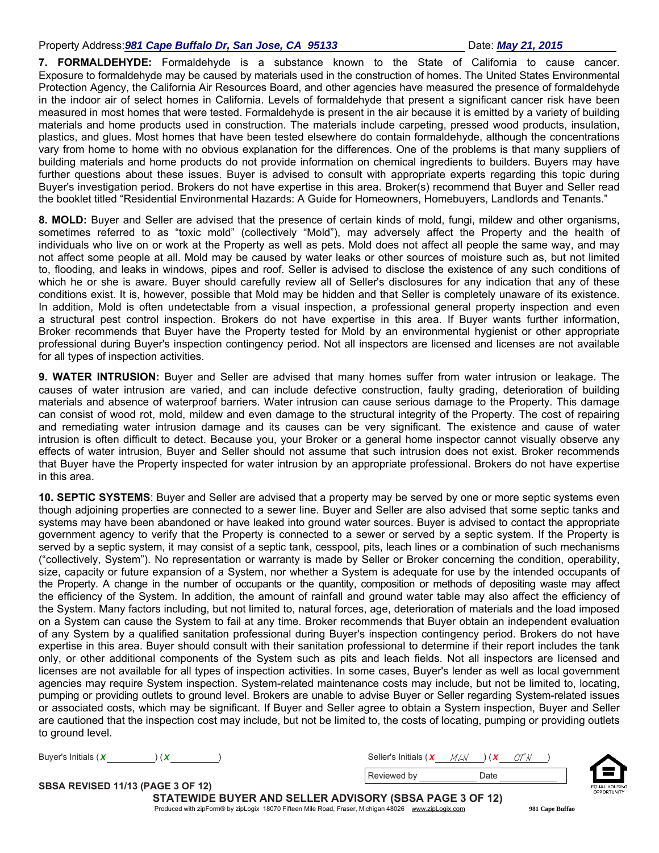7. FORMALDEHYDE: Formaldehyde is a substance known to the State of California to cause cancer. Exposure to formaldehyde may be caused by materials used in the construction of homes. The United States Environmental Protection Agency, the California Air Resources Board, and other agencies have measured the presence of formaldehyde in the indoor air of select homes in California. Levels of formaldehyde that present a significant cancer risk have been measured in most homes that were tested. Formaldehyde is present in the air because it is emitted by a variety of building materials and home products used in construction. The materials include carpeting, pressed wood products, insulation, plastics, and glues. Most homes that have been tested elsewhere do contain formaldehyde, although the concentrations vary from home to home with no obvious explanation for the differences. One of the problems is that many suppliers of building materials and home products do not provide information on chemical ingredients to builders. Buyers may have further questions about these issues. Buyer is advised to consult with appropriate experts regarding this topic during Buyer's investigation period. Brokers do not have expertise in this area. Broker(s) recommend that Buyer and Seller read the booklet titled "Residential Environmental Hazards: A Guide for Homeowners, Homebuyers, Landlords and Tenants."

8. MOLD: Buyer and Seller are advised that the presence of certain kinds of mold, fungi, mildew and other organisms, sometimes referred to as "toxic mold" (collectively "Mold"), may adversely affect the Property and the health of individuals who live on or work at the Property as well as pets. Mold does not affect all people the same way, and may not affect some people at all. Mold may be caused by water leaks or other sources of moisture such as, but not limited to, flooding, and leaks in windows, pipes and roof. Seller is advised to disclose the existence of any such conditions of which he or she is aware. Buyer should carefully review all of Seller's disclosures for any indication that any of these conditions exist. It is, however, possible that Mold may be hidden and that Seller is completely unaware of its existence. In addition, Mold is often undetectable from a visual inspection, a professional general property inspection and even a structural pest control inspection. Brokers do not have expertise in this area. If Buyer wants further information, Broker recommends that Buyer have the Property tested for Mold by an environmental hygienist or other appropriate professional during Buyer's inspection contingency period. Not all inspectors are licensed and licenses are not available for all types of inspection activities.

9. WATER INTRUSION: Buyer and Seller are advised that many homes suffer from water intrusion or leakage. The causes of water intrusion are varied, and can include defective construction, faulty grading, deterioration of building materials and absence of waterproof barriers. Water intrusion can cause serious damage to the Property. This damage can consist of wood rot, mold, mildew and even damage to the structural integrity of the Property. The cost of repairing and remediating water intrusion damage and its causes can be very significant. The existence and cause of water intrusion is often difficult to detect. Because you, your Broker or a general home inspector cannot visually observe any effects of water intrusion, Buyer and Seller should not assume that such intrusion does not exist. Broker recommends that Buyer have the Property inspected for water intrusion by an appropriate professional. Brokers do not have expertise in this area.

10. SEPTIC SYSTEMS: Buyer and Seller are advised that a property may be served by one or more septic systems even though adjoining properties are connected to a sewer line. Buyer and Seller are also advised that some septic tanks and systems may have been abandoned or have leaked into ground water sources. Buyer is advised to contact the appropriate government agency to verify that the Property is connected to a sewer or served by a septic system. If the Property is served by a septic system, it may consist of a septic tank, cesspool, pits, leach lines or a combination of such mechanisms ("collectively, System"). No representation or warranty is made by Seller or Broker concerning the condition, operability, size, capacity or future expansion of a System, nor whether a System is adequate for use by the intended occupants of the Property. A change in the number of occupants or the quantity, composition or methods of depositing waste may affect the efficiency of the System. In addition, the amount of rainfall and ground water table may also affect the efficiency of the System. Many factors including, but not limited to, natural forces, age, deterioration of materials and the load imposed on a System can cause the System to fail at any time. Broker recommends that Buyer obtain an independent evaluation of any System by a qualified sanitation professional during Buyer's inspection contingency period. Brokers do not have expertise in this area. Buyer should consult with their sanitation professional to determine if their report includes the tank only, or other additional components of the System such as pits and leach fields. Not all inspectors are licensed and licenses are not available for all types of inspection activities. In some cases, Buyer's lender as well as local government agencies may require System inspection. System-related maintenance costs may include, but not be limited to, locating, pumping or providing outlets to ground level. Brokers are unable to advise Buyer or Seller regarding System-related issues or associated costs, which may be significant. If Buyer and Seller agree to obtain a System inspection, Buyer and Seller are cautioned that the inspection cost may include, but not be limited to, the costs of locating, pumping or providing outlets to ground level.

| Buyer's Initials $(X)$                                                                       | Seller's Initials (X) | MLN  |                                    |
|----------------------------------------------------------------------------------------------|-----------------------|------|------------------------------------|
|                                                                                              | Reviewed by           | Date |                                    |
| SBSA REVISED 11/13 (PAGE 3 OF 12)<br>STATEWIDE BUYER AND SELLER ADVISORY (SBSA PAGE 3 OF 12) |                       |      | EQUAL HOUSIN<br><b>OPPORTUNITY</b> |

STATEWIDE BUYER AND SELLER ADVISORY (SBSA PAGE 3 OF 12)<br>Produced with zipForm® by zipLogix 18070 Fifteen Mile Road, Fraser, Michigan 48026 www.zipLogix.com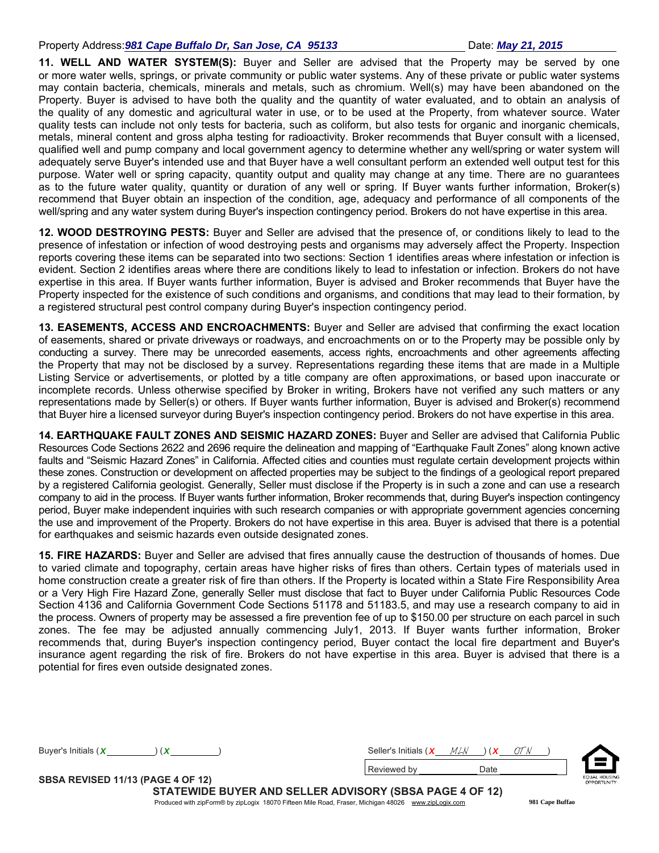11. WELL AND WATER SYSTEM(S): Buyer and Seller are advised that the Property may be served by one or more water wells, springs, or private community or public water systems. Any of these private or public water systems may contain bacteria, chemicals, minerals and metals, such as chromium. Well(s) may have been abandoned on the Property. Buyer is advised to have both the quality and the quantity of water evaluated, and to obtain an analysis of the quality of any domestic and agricultural water in use, or to be used at the Property, from whatever source. Water quality tests can include not only tests for bacteria, such as coliform, but also tests for organic and inorganic chemicals, metals, mineral content and gross alpha testing for radioactivity. Broker recommends that Buyer consult with a licensed, qualified well and pump company and local government agency to determine whether any well/spring or water system will adequately serve Buyer's intended use and that Buyer have a well consultant perform an extended well output test for this purpose. Water well or spring capacity, quantity output and quality may change at any time. There are no guarantees as to the future water quality, quantity or duration of any well or spring. If Buyer wants further information, Broker(s) recommend that Buyer obtain an inspection of the condition, age, adequacy and performance of all components of the well/spring and any water system during Buyer's inspection contingency period. Brokers do not have expertise in this area.

12. WOOD DESTROYING PESTS: Buyer and Seller are advised that the presence of, or conditions likely to lead to the presence of infestation or infection of wood destroying pests and organisms may adversely affect the Property. Inspection reports covering these items can be separated into two sections: Section 1 identifies areas where infestation or infection is evident. Section 2 identifies areas where there are conditions likely to lead to infestation or infection. Brokers do not have expertise in this area. If Buyer wants further information, Buyer is advised and Broker recommends that Buyer have the Property inspected for the existence of such conditions and organisms, and conditions that may lead to their formation, by a registered structural pest control company during Buyer's inspection contingency period.

13. EASEMENTS, ACCESS AND ENCROACHMENTS: Buyer and Seller are advised that confirming the exact location of easements, shared or private driveways or roadways, and encroachments on or to the Property may be possible only by conducting a survey. There may be unrecorded easements, access rights, encroachments and other agreements affecting the Property that may not be disclosed by a survey. Representations regarding these items that are made in a Multiple Listing Service or advertisements, or plotted by a title company are often approximations, or based upon inaccurate or incomplete records. Unless otherwise specified by Broker in writing, Brokers have not verified any such matters or any representations made by Seller(s) or others. If Buyer wants further information, Buyer is advised and Broker(s) recommend that Buyer hire a licensed surveyor during Buyer's inspection contingency period. Brokers do not have expertise in this area.

14. EARTHQUAKE FAULT ZONES AND SEISMIC HAZARD ZONES: Buyer and Seller are advised that California Public Resources Code Sections 2622 and 2696 require the delineation and mapping of "Earthquake Fault Zones" along known active faults and "Seismic Hazard Zones" in California. Affected cities and counties must regulate certain development projects within these zones. Construction or development on affected properties may be subject to the findings of a geological report prepared by a registered California geologist. Generally, Seller must disclose if the Property is in such a zone and can use a research company to aid in the process. If Buyer wants further information, Broker recommends that, during Buyer's inspection contingency period, Buyer make independent inquiries with such research companies or with appropriate government agencies concerning the use and improvement of the Property. Brokers do not have expertise in this area. Buyer is advised that there is a potential for earthquakes and seismic hazards even outside designated zones.

15. FIRE HAZARDS: Buyer and Seller are advised that fires annually cause the destruction of thousands of homes. Due to varied climate and topography, certain areas have higher risks of fires than others. Certain types of materials used in home construction create a greater risk of fire than others. If the Property is located within a State Fire Responsibility Area or a Very High Fire Hazard Zone, generally Seller must disclose that fact to Buyer under California Public Resources Code Section 4136 and California Government Code Sections 51178 and 51183.5, and may use a research company to aid in the process. Owners of property may be assessed a fire prevention fee of up to \$150.00 per structure on each parcel in such zones. The fee may be adjusted annually commencing July1, 2013. If Buyer wants further information, Broker recommends that, during Buyer's inspection contingency period, Buyer contact the local fire department and Buyer's insurance agent regarding the risk of fire. Brokers do not have expertise in this area. Buyer is advised that there is a potential for fires even outside designated zones.

| Buyer's Initials (X                                                                                 | Seller's Initials (X<br>MLN |                 |                              |
|-----------------------------------------------------------------------------------------------------|-----------------------------|-----------------|------------------------------|
|                                                                                                     | Reviewed by                 | Date            |                              |
| SBSA REVISED 11/13 (PAGE 4 OF 12)                                                                   |                             |                 | EQUAL HOUSING<br>OPPORTUNITY |
| STATEWIDE BUYER AND SELLER ADVISORY (SBSA PAGE 4 OF 12)                                             |                             |                 |                              |
| Produced with zipForm® by zipLogix 18070 Fifteen Mile Road, Fraser, Michigan 48026 www.zipLogix.com |                             | 981 Cape Buffao |                              |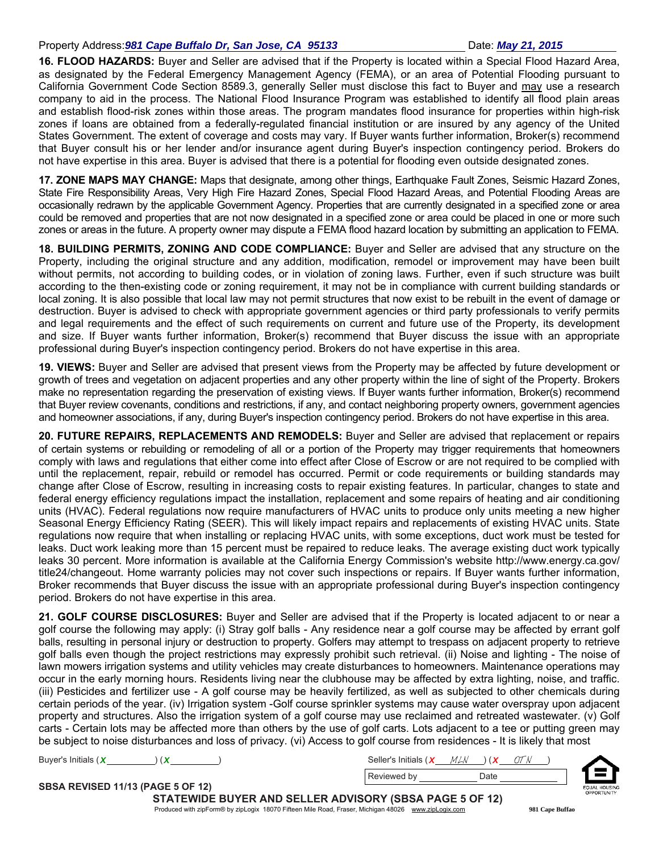16. FLOOD HAZARDS: Buyer and Seller are advised that if the Property is located within a Special Flood Hazard Area, as designated by the Federal Emergency Management Agency (FEMA), or an area of Potential Flooding pursuant to California Government Code Section 8589.3, generally Seller must disclose this fact to Buyer and may use a research company to aid in the process. The National Flood Insurance Program was established to identify all flood plain areas and establish flood-risk zones within those areas. The program mandates flood insurance for properties within high-risk zones if loans are obtained from a federally-regulated financial institution or are insured by any agency of the United States Government. The extent of coverage and costs may vary. If Buyer wants further information, Broker(s) recommend that Buyer consult his or her lender and/or insurance agent during Buyer's inspection contingency period. Brokers do not have expertise in this area. Buyer is advised that there is a potential for flooding even outside designated zones.

17. ZONE MAPS MAY CHANGE: Maps that designate, among other things, Earthquake Fault Zones, Seismic Hazard Zones, State Fire Responsibility Areas, Very High Fire Hazard Zones, Special Flood Hazard Areas, and Potential Flooding Areas are occasionally redrawn by the applicable Government Agency. Properties that are currently designated in a specified zone or area could be removed and properties that are not now designated in a specified zone or area could be placed in one or more such zones or areas in the future. A property owner may dispute a FEMA flood hazard location by submitting an application to FEMA.

18. BUILDING PERMITS, ZONING AND CODE COMPLIANCE: Buyer and Seller are advised that any structure on the Property, including the original structure and any addition, modification, remodel or improvement may have been built without permits, not according to building codes, or in violation of zoning laws. Further, even if such structure was built according to the then-existing code or zoning requirement, it may not be in compliance with current building standards or local zoning. It is also possible that local law may not permit structures that now exist to be rebuilt in the event of damage or destruction. Buyer is advised to check with appropriate government agencies or third party professionals to verify permits and legal requirements and the effect of such requirements on current and future use of the Property, its development and size. If Buyer wants further information, Broker(s) recommend that Buyer discuss the issue with an appropriate professional during Buyer's inspection contingency period. Brokers do not have expertise in this area.

19. VIEWS: Buyer and Seller are advised that present views from the Property may be affected by future development or growth of trees and vegetation on adjacent properties and any other property within the line of sight of the Property. Brokers make no representation regarding the preservation of existing views. If Buyer wants further information, Broker(s) recommend that Buyer review covenants, conditions and restrictions, if any, and contact neighboring property owners, government agencies and homeowner associations, if any, during Buyer's inspection contingency period. Brokers do not have expertise in this area.

20. FUTURE REPAIRS, REPLACEMENTS AND REMODELS: Buyer and Seller are advised that replacement or repairs of certain systems or rebuilding or remodeling of all or a portion of the Property may trigger requirements that homeowners comply with laws and regulations that either come into effect after Close of Escrow or are not required to be complied with until the replacement, repair, rebuild or remodel has occurred. Permit or code requirements or building standards may change after Close of Escrow, resulting in increasing costs to repair existing features. In particular, changes to state and federal energy efficiency regulations impact the installation, replacement and some repairs of heating and air conditioning units (HVAC). Federal regulations now require manufacturers of HVAC units to produce only units meeting a new higher Seasonal Energy Efficiency Rating (SEER). This will likely impact repairs and replacements of existing HVAC units. State regulations now require that when installing or replacing HVAC units, with some exceptions, duct work must be tested for leaks. Duct work leaking more than 15 percent must be repaired to reduce leaks. The average existing duct work typically leaks 30 percent. More information is available at the California Energy Commission's website http://www.energy.ca.gov/ title24/changeout. Home warranty policies may not cover such inspections or repairs. If Buyer wants further information, Broker recommends that Buyer discuss the issue with an appropriate professional during Buyer's inspection contingency period. Brokers do not have expertise in this area.

21. GOLF COURSE DISCLOSURES: Buyer and Seller are advised that if the Property is located adjacent to or near a golf course the following may apply: (i) Stray golf balls - Any residence near a golf course may be affected by errant golf balls, resulting in personal injury or destruction to property. Golfers may attempt to trespass on adjacent property to retrieve golf balls even though the project restrictions may expressly prohibit such retrieval. (ii) Noise and lighting - The noise of lawn mowers irrigation systems and utility vehicles may create disturbances to homeowners. Maintenance operations may occur in the early morning hours. Residents living near the clubhouse may be affected by extra lighting, noise, and traffic. (iii) Pesticides and fertilizer use - A golf course may be heavily fertilized, as well as subjected to other chemicals during certain periods of the year. (iv) Irrigation system -Golf course sprinkler systems may cause water overspray upon adjacent property and structures. Also the irrigation system of a golf course may use reclaimed and retreated wastewater. (v) Golf carts - Certain lots may be affected more than others by the use of golf carts. Lots adjacent to a tee or putting green may be subject to noise disturbances and loss of privacy. (vi) Access to golf course from residences - It is likely that most

| Buver's<br>; Initials (                                                                                                                                                                                                                                                                                                                             | Initials (<br>$\mathcal{M}$<br>Seller's |      |  |
|-----------------------------------------------------------------------------------------------------------------------------------------------------------------------------------------------------------------------------------------------------------------------------------------------------------------------------------------------------|-----------------------------------------|------|--|
| $\overline{a}$ , $\overline{a}$ , $\overline{a}$ , $\overline{a}$ , $\overline{a}$ , $\overline{a}$ , $\overline{a}$ , $\overline{a}$ , $\overline{a}$ , $\overline{a}$ , $\overline{a}$ , $\overline{a}$ , $\overline{a}$ , $\overline{a}$ , $\overline{a}$ , $\overline{a}$ , $\overline{a}$ , $\overline{a}$ , $\overline{a}$ , $\overline{a}$ , | Reviewed by                             | Date |  |



SBSA REVISED 11/13 (PAGE 5 OF 12)

STATEWIDE BUYER AND SELLER ADVISORY (SBSA PAGE 5 OF 12) Produced with zipForm® by zipLogix 18070 Fifteen Mile Road, Fraser, Michigan 48026 www.zipLogix.com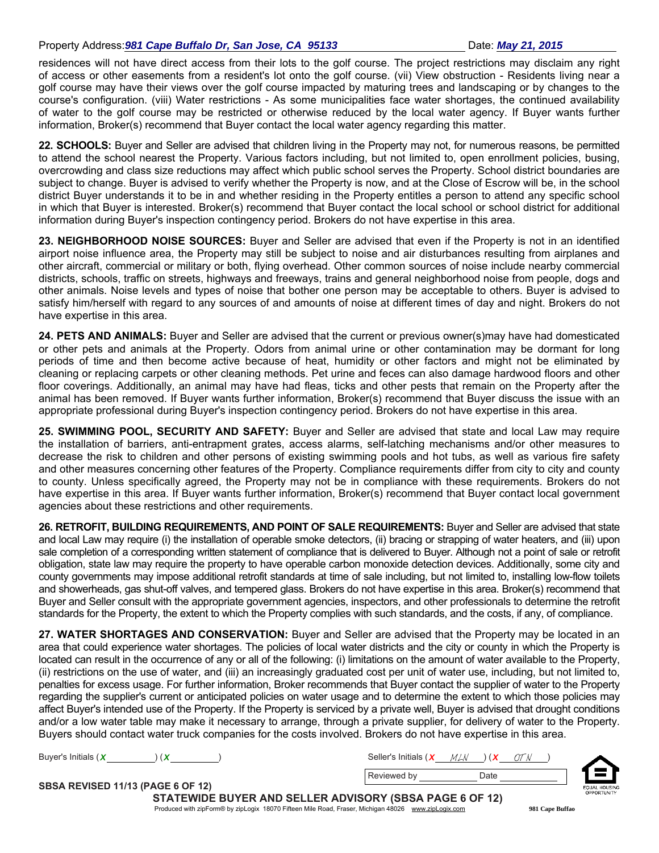residences will not have direct access from their lots to the golf course. The project restrictions may disclaim any right of access or other easements from a resident's lot onto the golf course. (vii) View obstruction - Residents living near a golf course may have their views over the golf course impacted by maturing trees and landscaping or by changes to the course's configuration. (viii) Water restrictions - As some municipalities face water shortages, the continued availability of water to the golf course may be restricted or otherwise reduced by the local water agency. If Buyer wants further information, Broker(s) recommend that Buyer contact the local water agency regarding this matter.

22. SCHOOLS: Buyer and Seller are advised that children living in the Property may not, for numerous reasons, be permitted to attend the school nearest the Property. Various factors including, but not limited to, open enrollment policies, busing, overcrowding and class size reductions may affect which public school serves the Property. School district boundaries are subject to change. Buyer is advised to verify whether the Property is now, and at the Close of Escrow will be, in the school district Buyer understands it to be in and whether residing in the Property entitles a person to attend any specific school in which that Buyer is interested. Broker(s) recommend that Buyer contact the local school or school district for additional information during Buyer's inspection contingency period. Brokers do not have expertise in this area.

23. NEIGHBORHOOD NOISE SOURCES: Buyer and Seller are advised that even if the Property is not in an identified airport noise influence area, the Property may still be subject to noise and air disturbances resulting from airplanes and other aircraft, commercial or military or both, flying overhead. Other common sources of noise include nearby commercial districts, schools, traffic on streets, highways and freeways, trains and general neighborhood noise from people, dogs and other animals. Noise levels and types of noise that bother one person may be acceptable to others. Buyer is advised to satisfy him/herself with regard to any sources of and amounts of noise at different times of day and night. Brokers do not have expertise in this area.

24. PETS AND ANIMALS: Buyer and Seller are advised that the current or previous owner(s)may have had domesticated or other pets and animals at the Property. Odors from animal urine or other contamination may be dormant for long periods of time and then become active because of heat, humidity or other factors and might not be eliminated by cleaning or replacing carpets or other cleaning methods. Pet urine and feces can also damage hardwood floors and other floor coverings. Additionally, an animal may have had fleas, ticks and other pests that remain on the Property after the animal has been removed. If Buyer wants further information, Broker(s) recommend that Buyer discuss the issue with an appropriate professional during Buyer's inspection contingency period. Brokers do not have expertise in this area.

25. SWIMMING POOL, SECURITY AND SAFETY: Buyer and Seller are advised that state and local Law may require the installation of barriers, anti-entrapment grates, access alarms, self-latching mechanisms and/or other measures to decrease the risk to children and other persons of existing swimming pools and hot tubs, as well as various fire safety and other measures concerning other features of the Property. Compliance requirements differ from city to city and county to county. Unless specifically agreed, the Property may not be in compliance with these requirements. Brokers do not have expertise in this area. If Buyer wants further information, Broker(s) recommend that Buyer contact local government agencies about these restrictions and other requirements.

26. RETROFIT, BUILDING REQUIREMENTS, AND POINT OF SALE REQUIREMENTS: Buyer and Seller are advised that state and local Law may require (i) the installation of operable smoke detectors, (ii) bracing or strapping of water heaters, and (iii) upon sale completion of a corresponding written statement of compliance that is delivered to Buyer. Although not a point of sale or retrofit obligation, state law may require the property to have operable carbon monoxide detection devices. Additionally, some city and county governments may impose additional retrofit standards at time of sale including, but not limited to, installing low-flow toilets and showerheads, gas shut-off valves, and tempered glass. Brokers do not have expertise in this area. Broker(s) recommend that Buyer and Seller consult with the appropriate government agencies, inspectors, and other professionals to determine the retrofit standards for the Property, the extent to which the Property complies with such standards, and the costs, if any, of compliance.

27. WATER SHORTAGES AND CONSERVATION: Buyer and Seller are advised that the Property may be located in an area that could experience water shortages. The policies of local water districts and the city or county in which the Property is located can result in the occurrence of any or all of the following: (i) limitations on the amount of water available to the Property, (ii) restrictions on the use of water, and (iii) an increasingly graduated cost per unit of water use, including, but not limited to, penalties for excess usage. For further information, Broker recommends that Buyer contact the supplier of water to the Property regarding the supplier's current or anticipated policies on water usage and to determine the extent to which those policies may affect Buyer's intended use of the Property. If the Property is serviced by a private well, Buyer is advised that drought conditions and/or a low water table may make it necessary to arrange, through a private supplier, for delivery of water to the Property. Buyers should contact water truck companies for the costs involved. Brokers do not have expertise in this area.

| Buver's Initials (X | Seller's Initials (X) | MLN  | OT |  |
|---------------------|-----------------------|------|----|--|
|                     | Reviewed L.           | Date |    |  |

SBSA REVISED 11/13 (PAGE 6 OF 12) STATEWIDE BUYER AND SELLER ADVISORY (SBSA PAGE 6 OF 12) Produced with zipForm® by zipLogix 18070 Fifteen Mile Road, Fraser, Michigan 48026 www.zipLogix.com



**981 Cape Buffao**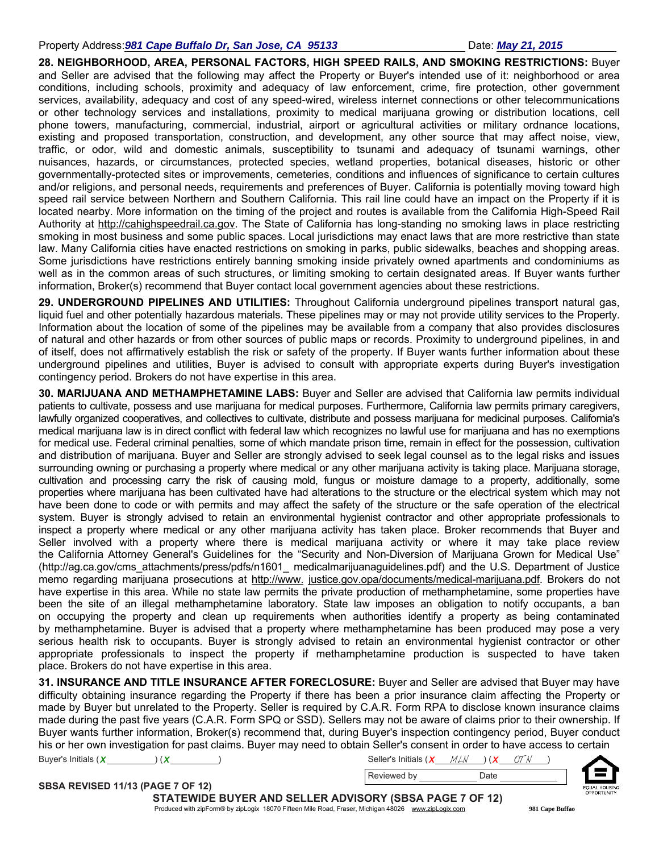28. NEIGHBORHOOD, AREA, PERSONAL FACTORS, HIGH SPEED RAILS, AND SMOKING RESTRICTIONS: Buyer and Seller are advised that the following may affect the Property or Buyer's intended use of it: neighborhood or area conditions, including schools, proximity and adequacy of law enforcement, crime, fire protection, other government services, availability, adequacy and cost of any speed-wired, wireless internet connections or other telecommunications or other technology services and installations, proximity to medical marijuana growing or distribution locations, cell phone towers, manufacturing, commercial, industrial, airport or agricultural activities or military ordnance locations, existing and proposed transportation, construction, and development, any other source that may affect noise, view, traffic, or odor, wild and domestic animals, susceptibility to tsunami and adequacy of tsunami warnings, other nuisances, hazards, or circumstances, protected species, wetland properties, botanical diseases, historic or other governmentally-protected sites or improvements, cemeteries, conditions and influences of significance to certain cultures and/or religions, and personal needs, requirements and preferences of Buyer. California is potentially moving toward high speed rail service between Northern and Southern California. This rail line could have an impact on the Property if it is located nearby. More information on the timing of the project and routes is available from the California High-Speed Rail Authority at http://cahighspeedrail.ca.gov. The State of California has long-standing no smoking laws in place restricting smoking in most business and some public spaces. Local jurisdictions may enact laws that are more restrictive than state law. Many California cities have enacted restrictions on smoking in parks, public sidewalks, beaches and shopping areas. Some jurisdictions have restrictions entirely banning smoking inside privately owned apartments and condominiums as well as in the common areas of such structures, or limiting smoking to certain designated areas. If Buyer wants further information, Broker(s) recommend that Buyer contact local government agencies about these restrictions.

29. UNDERGROUND PIPELINES AND UTILITIES: Throughout California underground pipelines transport natural gas, liquid fuel and other potentially hazardous materials. These pipelines may or may not provide utility services to the Property. Information about the location of some of the pipelines may be available from a company that also provides disclosures of natural and other hazards or from other sources of public maps or records. Proximity to underground pipelines, in and of itself, does not affirmatively establish the risk or safety of the property. If Buyer wants further information about these underground pipelines and utilities, Buyer is advised to consult with appropriate experts during Buyer's investigation contingency period. Brokers do not have expertise in this area.

30. MARIJUANA AND METHAMPHETAMINE LABS: Buyer and Seller are advised that California law permits individual patients to cultivate, possess and use marijuana for medical purposes. Furthermore, California law permits primary caregivers, lawfully organized cooperatives, and collectives to cultivate, distribute and possess marijuana for medicinal purposes. California's medical marijuana law is in direct conflict with federal law which recognizes no lawful use for marijuana and has no exemptions for medical use. Federal criminal penalties, some of which mandate prison time, remain in effect for the possession, cultivation and distribution of marijuana. Buyer and Seller are strongly advised to seek legal counsel as to the legal risks and issues surrounding owning or purchasing a property where medical or any other marijuana activity is taking place. Marijuana storage, cultivation and processing carry the risk of causing mold, fungus or moisture damage to a property, additionally, some properties where marijuana has been cultivated have had alterations to the structure or the electrical system which may not have been done to code or with permits and may affect the safety of the structure or the safe operation of the electrical system. Buyer is strongly advised to retain an environmental hygienist contractor and other appropriate professionals to inspect a property where medical or any other marijuana activity has taken place. Broker recommends that Buyer and Seller involved with a property where there is medical marijuana activity or where it may take place review the California Attorney General's Guidelines for the "Security and Non-Diversion of Marijuana Grown for Medical Use" (http://ag.ca.gov/cms\_attachments/press/pdfs/n1601\_ medicalmarijuanaguidelines.pdf) and the U.S. Department of Justice memo regarding marijuana prosecutions at http://www. justice.gov.opa/documents/medical-marijuana.pdf. Brokers do not have expertise in this area. While no state law permits the private production of methamphetamine, some properties have been the site of an illegal methamphetamine laboratory. State law imposes an obligation to notify occupants, a ban on occupying the property and clean up requirements when authorities identify a property as being contaminated by methamphetamine. Buyer is advised that a property where methamphetamine has been produced may pose a very serious health risk to occupants. Buyer is strongly advised to retain an environmental hygienist contractor or other appropriate professionals to inspect the property if methamphetamine production is suspected to have taken place. Brokers do not have expertise in this area.

31. INSURANCE AND TITLE INSURANCE AFTER FORECLOSURE: Buyer and Seller are advised that Buyer may have difficulty obtaining insurance regarding the Property if there has been a prior insurance claim affecting the Property or made by Buyer but unrelated to the Property. Seller is required by C.A.R. Form RPA to disclose known insurance claims made during the past five years (C.A.R. Form SPQ or SSD). Sellers may not be aware of claims prior to their ownership. If Buyer wants further information, Broker(s) recommend that, during Buyer's inspection contingency period, Buyer conduct his or her own investigation for past claims. Buyer may need to obtain Seller's consent in order to have access to certain

| Buyer's Initials $(X)$                                                                       | Seller's Initials ( $\chi$ ///// | OT N |
|----------------------------------------------------------------------------------------------|----------------------------------|------|
|                                                                                              | Reviewed by                      | Date |
| SBSA REVISED 11/13 (PAGE 7 OF 12)<br>STATEWIDE BUYER AND SELLER ADVISORY (SBSA PAGE 7 OF 12) |                                  |      |



Produced with zipForm® by zipLogix 18070 Fifteen Mile Road, Fraser, Michigan 48026 www.zipLogix.com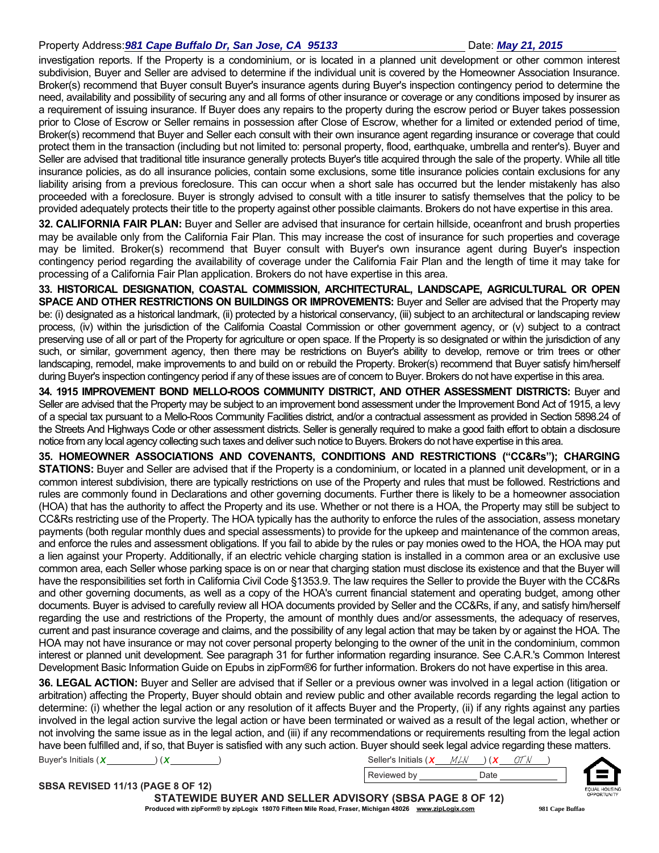investigation reports. If the Property is a condominium, or is located in a planned unit development or other common interest subdivision, Buyer and Seller are advised to determine if the individual unit is covered by the Homeowner Association Insurance. Broker(s) recommend that Buyer consult Buyer's insurance agents during Buyer's inspection contingency period to determine the need, availability and possibility of securing any and all forms of other insurance or coverage or any conditions imposed by insurer as a requirement of issuing insurance. If Buyer does any repairs to the property during the escrow period or Buyer takes possession prior to Close of Escrow or Seller remains in possession after Close of Escrow, whether for a limited or extended period of time, Broker(s) recommend that Buyer and Seller each consult with their own insurance agent regarding insurance or coverage that could protect them in the transaction (including but not limited to: personal property, flood, earthquake, umbrella and renter's). Buyer and Seller are advised that traditional title insurance generally protects Buyer's title acquired through the sale of the property. While all title insurance policies, as do all insurance policies, contain some exclusions, some title insurance policies contain exclusions for any liability arising from a previous foreclosure. This can occur when a short sale has occurred but the lender mistakenly has also proceeded with a foreclosure. Buyer is strongly advised to consult with a title insurer to satisfy themselves that the policy to be provided adequately protects their title to the property against other possible claimants. Brokers do not have expertise in this area.

32. CALIFORNIA FAIR PLAN: Buyer and Seller are advised that insurance for certain hillside, oceanfront and brush properties may be available only from the California Fair Plan. This may increase the cost of insurance for such properties and coverage may be limited. Broker(s) recommend that Buyer consult with Buyer's own insurance agent during Buyer's inspection contingency period regarding the availability of coverage under the California Fair Plan and the length of time it may take for processing of a California Fair Plan application. Brokers do not have expertise in this area.

33. HISTORICAL DESIGNATION, COASTAL COMMISSION, ARCHITECTURAL, LANDSCAPE, AGRICULTURAL OR OPEN SPACE AND OTHER RESTRICTIONS ON BUILDINGS OR IMPROVEMENTS: Buyer and Seller are advised that the Property may be: (i) designated as a historical landmark, (ii) protected by a historical conservancy, (iii) subject to an architectural or landscaping review process, (iv) within the jurisdiction of the California Coastal Commission or other government agency, or (v) subject to a contract preserving use of all or part of the Property for agriculture or open space. If the Property is so designated or within the jurisdiction of any such, or similar, government agency, then there may be restrictions on Buyer's ability to develop, remove or trim trees or other landscaping, remodel, make improvements to and build on or rebuild the Property. Broker(s) recommend that Buyer satisfy him/herself during Buyer's inspection contingency period if any of these issues are of concern to Buyer. Brokers do not have expertise in this area.

34. 1915 IMPROVEMENT BOND MELLO-ROOS COMMUNITY DISTRICT, AND OTHER ASSESSMENT DISTRICTS: Buyer and Seller are advised that the Property may be subject to an improvement bond assessment under the Improvement Bond Act of 1915, a levy of a special tax pursuant to a Mello-Roos Community Facilities district, and/or a contractual assessment as provided in Section 5898.24 of the Streets And Highways Code or other assessment districts. Seller is generally required to make a good faith effort to obtain a disclosure notice from any local agency collecting such taxes and deliver such notice to Buyers. Brokers do not have expertise in this area.

35. HOMEOWNER ASSOCIATIONS AND COVENANTS, CONDITIONS AND RESTRICTIONS ("CC&Rs"); CHARGING STATIONS: Buyer and Seller are advised that if the Property is a condominium, or located in a planned unit development, or in a common interest subdivision, there are typically restrictions on use of the Property and rules that must be followed. Restrictions and rules are commonly found in Declarations and other governing documents. Further there is likely to be a homeowner association (HOA) that has the authority to affect the Property and its use. Whether or not there is a HOA, the Property may still be subject to CC&Rs restricting use of the Property. The HOA typically has the authority to enforce the rules of the association, assess monetary payments (both regular monthly dues and special assessments) to provide for the upkeep and maintenance of the common areas, and enforce the rules and assessment obligations. If you fail to abide by the rules or pay monies owed to the HOA, the HOA may put a lien against your Property. Additionally, if an electric vehicle charging station is installed in a common area or an exclusive use common area, each Seller whose parking space is on or near that charging station must disclose its existence and that the Buyer will have the responsibilities set forth in California Civil Code §1353.9. The law requires the Seller to provide the Buyer with the CC&Rs and other governing documents, as well as a copy of the HOA's current financial statement and operating budget, among other documents. Buyer is advised to carefully review all HOA documents provided by Seller and the CC&Rs, if any, and satisfy him/herself regarding the use and restrictions of the Property, the amount of monthly dues and/or assessments, the adequacy of reserves, current and past insurance coverage and claims, and the possibility of any legal action that may be taken by or against the HOA. The HOA may not have insurance or may not cover personal property belonging to the owner of the unit in the condominium, common interest or planned unit development. See paragraph 31 for further information regarding insurance. See C.A.R.'s Common Interest Development Basic Information Guide on Epubs in zipForm®6 for further information. Brokers do not have expertise in this area.

36. LEGAL ACTION: Buyer and Seller are advised that if Seller or a previous owner was involved in a legal action (litigation or arbitration) affecting the Property, Buyer should obtain and review public and other available records regarding the legal action to determine: (i) whether the legal action or any resolution of it affects Buyer and the Property, (ii) if any rights against any parties involved in the legal action survive the legal action or have been terminated or waived as a result of the legal action, whether or not involving the same issue as in the legal action, and (iii) if any recommendations or requirements resulting from the legal action have been fulfilled and, if so, that Buyer is satisfied with any such action. Buyer should seek legal advice regarding these matters.

| Buyer's Initials (X | (x) |
|---------------------|-----|
|---------------------|-----|

| Buyer's Initials ( |  | Seller's Initials ( | MLN   | $\frac{1}{2}$ |  |
|--------------------|--|---------------------|-------|---------------|--|
|                    |  | Reviewed by         | Date: |               |  |

SBSA REVISED 11/13 (PAGE 8 OF 12) STATEWIDE BUYER AND SELLER ADVISORY (SBSA PAGE 8 OF 12) Produced with zipForm® by zipLogix 18070 Fifteen Mile Road, Fraser, Michigan 48026 www.zipLogix.com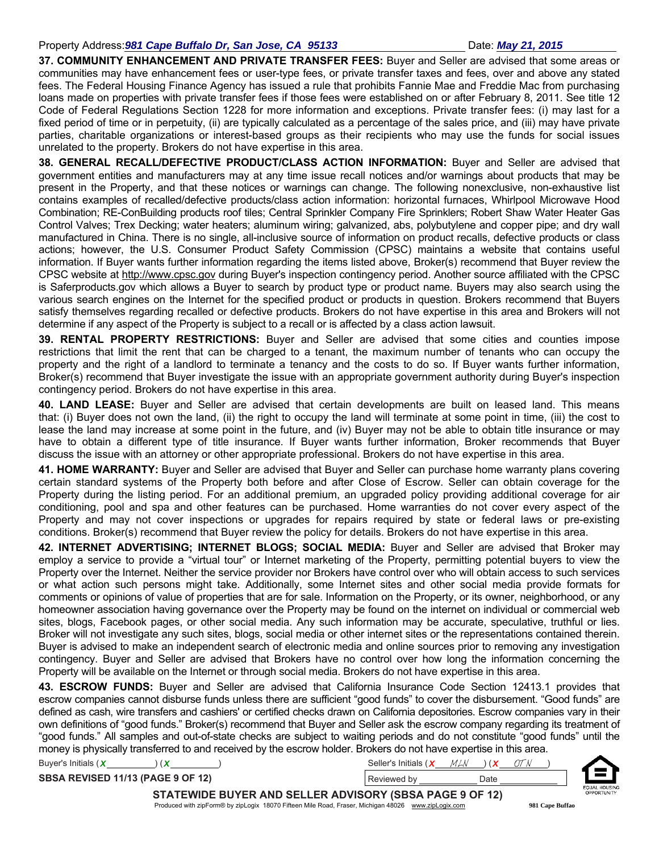37. COMMUNITY ENHANCEMENT AND PRIVATE TRANSFER FEES: Buyer and Seller are advised that some areas or communities may have enhancement fees or user-type fees, or private transfer taxes and fees, over and above any stated fees. The Federal Housing Finance Agency has issued a rule that prohibits Fannie Mae and Freddie Mac from purchasing loans made on properties with private transfer fees if those fees were established on or after February 8, 2011. See title 12 Code of Federal Regulations Section 1228 for more information and exceptions. Private transfer fees: (i) may last for a fixed period of time or in perpetuity, (ii) are typically calculated as a percentage of the sales price, and (iii) may have private parties, charitable organizations or interest-based groups as their recipients who may use the funds for social issues unrelated to the property. Brokers do not have expertise in this area.

38. GENERAL RECALL/DEFECTIVE PRODUCT/CLASS ACTION INFORMATION: Buyer and Seller are advised that government entities and manufacturers may at any time issue recall notices and/or warnings about products that may be present in the Property, and that these notices or warnings can change. The following nonexclusive, non-exhaustive list contains examples of recalled/defective products/class action information: horizontal furnaces, Whirlpool Microwave Hood Combination; RE-ConBuilding products roof tiles; Central Sprinkler Company Fire Sprinklers; Robert Shaw Water Heater Gas Control Valves; Trex Decking; water heaters; aluminum wiring; galvanized, abs, polybutylene and copper pipe; and dry wall manufactured in China. There is no single, all-inclusive source of information on product recalls, defective products or class actions; however, the U.S. Consumer Product Safety Commission (CPSC) maintains a website that contains useful information. If Buyer wants further information regarding the items listed above, Broker(s) recommend that Buyer review the CPSC website at http://www.cpsc.gov during Buyer's inspection contingency period. Another source affiliated with the CPSC is Saferproducts.gov which allows a Buyer to search by product type or product name. Buyers may also search using the various search engines on the Internet for the specified product or products in question. Brokers recommend that Buyers satisfy themselves regarding recalled or defective products. Brokers do not have expertise in this area and Brokers will not determine if any aspect of the Property is subject to a recall or is affected by a class action lawsuit.

39. RENTAL PROPERTY RESTRICTIONS: Buyer and Seller are advised that some cities and counties impose restrictions that limit the rent that can be charged to a tenant, the maximum number of tenants who can occupy the property and the right of a landlord to terminate a tenancy and the costs to do so. If Buyer wants further information, Broker(s) recommend that Buyer investigate the issue with an appropriate government authority during Buyer's inspection contingency period. Brokers do not have expertise in this area.

40. LAND LEASE: Buyer and Seller are advised that certain developments are built on leased land. This means that: (i) Buyer does not own the land, (ii) the right to occupy the land will terminate at some point in time, (iii) the cost to lease the land may increase at some point in the future, and (iv) Buyer may not be able to obtain title insurance or may have to obtain a different type of title insurance. If Buyer wants further information, Broker recommends that Buyer discuss the issue with an attorney or other appropriate professional. Brokers do not have expertise in this area.

41. HOME WARRANTY: Buyer and Seller are advised that Buyer and Seller can purchase home warranty plans covering certain standard systems of the Property both before and after Close of Escrow. Seller can obtain coverage for the Property during the listing period. For an additional premium, an upgraded policy providing additional coverage for air conditioning, pool and spa and other features can be purchased. Home warranties do not cover every aspect of the Property and may not cover inspections or upgrades for repairs required by state or federal laws or pre-existing conditions. Broker(s) recommend that Buyer review the policy for details. Brokers do not have expertise in this area.

42. INTERNET ADVERTISING; INTERNET BLOGS; SOCIAL MEDIA: Buyer and Seller are advised that Broker may employ a service to provide a "virtual tour" or Internet marketing of the Property, permitting potential buyers to view the Property over the Internet. Neither the service provider nor Brokers have control over who will obtain access to such services or what action such persons might take. Additionally, some Internet sites and other social media provide formats for comments or opinions of value of properties that are for sale. Information on the Property, or its owner, neighborhood, or any homeowner association having governance over the Property may be found on the internet on individual or commercial web sites, blogs, Facebook pages, or other social media. Any such information may be accurate, speculative, truthful or lies. Broker will not investigate any such sites, blogs, social media or other internet sites or the representations contained therein. Buyer is advised to make an independent search of electronic media and online sources prior to removing any investigation contingency. Buyer and Seller are advised that Brokers have no control over how long the information concerning the Property will be available on the Internet or through social media. Brokers do not have expertise in this area.

43. ESCROW FUNDS: Buyer and Seller are advised that California Insurance Code Section 12413.1 provides that escrow companies cannot disburse funds unless there are sufficient "good funds" to cover the disbursement. "Good funds" are defined as cash, wire transfers and cashiers' or certified checks drawn on California depositories. Escrow companies vary in their own definitions of "good funds." Broker(s) recommend that Buyer and Seller ask the escrow company regarding its treatment of "good funds." All samples and out-of-state checks are subject to waiting periods and do not constitute "good funds" until the money is physically transferred to and received by the escrow holder. Brokers do not have expertise in this area.

| Buver's Initials ( $\pmb{\chi}$                                                                     | Seller's Initials (X) | MLN  | O7 N            |           |
|-----------------------------------------------------------------------------------------------------|-----------------------|------|-----------------|-----------|
| <b>SBSA REVISED 11/13 (PAGE 9 OF 12)</b>                                                            | Reviewed by           | Date |                 |           |
| STATEWIDE BUYER AND SELLER ADVISORY (SBSA PAGE 9 OF 12)                                             |                       |      |                 | EQL<br>OP |
| Produced with zipForm® by zipLogix 18070 Fifteen Mile Road, Fraser, Michigan 48026 www.zipLogix.com |                       |      | 981 Cape Buffao |           |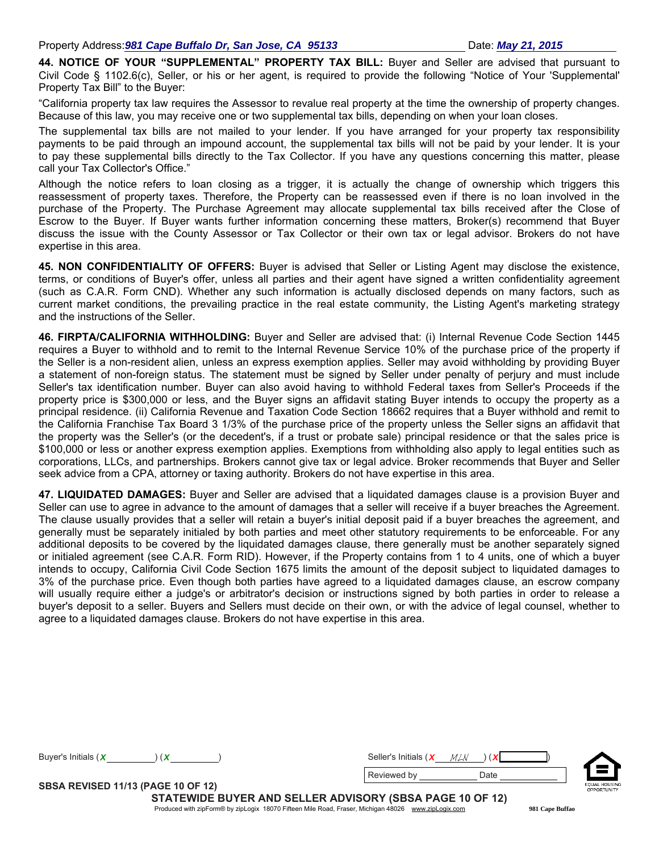44. NOTICE OF YOUR "SUPPLEMENTAL" PROPERTY TAX BILL: Buyer and Seller are advised that pursuant to Civil Code § 1102.6(c), Seller, or his or her agent, is required to provide the following "Notice of Your 'Supplemental' Property Tax Bill" to the Buyer:

"California property tax law requires the Assessor to revalue real property at the time the ownership of property changes. Because of this law, you may receive one or two supplemental tax bills, depending on when your loan closes.

The supplemental tax bills are not mailed to your lender. If you have arranged for your property tax responsibility payments to be paid through an impound account, the supplemental tax bills will not be paid by your lender. It is your to pay these supplemental bills directly to the Tax Collector. If you have any questions concerning this matter, please call your Tax Collector's Office."

Although the notice refers to loan closing as a trigger, it is actually the change of ownership which triggers this reassessment of property taxes. Therefore, the Property can be reassessed even if there is no loan involved in the purchase of the Property. The Purchase Agreement may allocate supplemental tax bills received after the Close of Escrow to the Buyer. If Buyer wants further information concerning these matters, Broker(s) recommend that Buyer discuss the issue with the County Assessor or Tax Collector or their own tax or legal advisor. Brokers do not have expertise in this area.

45. NON CONFIDENTIALITY OF OFFERS: Buyer is advised that Seller or Listing Agent may disclose the existence, terms, or conditions of Buyer's offer, unless all parties and their agent have signed a written confidentiality agreement (such as C.A.R. Form CND). Whether any such information is actually disclosed depends on many factors, such as current market conditions, the prevailing practice in the real estate community, the Listing Agent's marketing strategy and the instructions of the Seller.

46. FIRPTA/CALIFORNIA WITHHOLDING: Buyer and Seller are advised that: (i) Internal Revenue Code Section 1445 requires a Buyer to withhold and to remit to the Internal Revenue Service 10% of the purchase price of the property if the Seller is a non-resident alien, unless an express exemption applies. Seller may avoid withholding by providing Buyer a statement of non-foreign status. The statement must be signed by Seller under penalty of perjury and must include Seller's tax identification number. Buyer can also avoid having to withhold Federal taxes from Seller's Proceeds if the property price is \$300,000 or less, and the Buyer signs an affidavit stating Buyer intends to occupy the property as a principal residence. (ii) California Revenue and Taxation Code Section 18662 requires that a Buyer withhold and remit to the California Franchise Tax Board 3 1/3% of the purchase price of the property unless the Seller signs an affidavit that the property was the Seller's (or the decedent's, if a trust or probate sale) principal residence or that the sales price is \$100,000 or less or another express exemption applies. Exemptions from withholding also apply to legal entities such as corporations, LLCs, and partnerships. Brokers cannot give tax or legal advice. Broker recommends that Buyer and Seller seek advice from a CPA, attorney or taxing authority. Brokers do not have expertise in this area.

47. LIQUIDATED DAMAGES: Buyer and Seller are advised that a liquidated damages clause is a provision Buyer and Seller can use to agree in advance to the amount of damages that a seller will receive if a buyer breaches the Agreement. The clause usually provides that a seller will retain a buyer's initial deposit paid if a buyer breaches the agreement, and generally must be separately initialed by both parties and meet other statutory requirements to be enforceable. For any additional deposits to be covered by the liquidated damages clause, there generally must be another separately signed or initialed agreement (see C.A.R. Form RID). However, if the Property contains from 1 to 4 units, one of which a buyer intends to occupy, California Civil Code Section 1675 limits the amount of the deposit subject to liquidated damages to 3% of the purchase price. Even though both parties have agreed to a liquidated damages clause, an escrow company will usually require either a judge's or arbitrator's decision or instructions signed by both parties in order to release a buyer's deposit to a seller. Buyers and Sellers must decide on their own, or with the advice of legal counsel, whether to agree to a liquidated damages clause. Brokers do not have expertise in this area.

| Buver's Initials (X                       | Seller's Initials (X | 11 I I I |                       |
|-------------------------------------------|----------------------|----------|-----------------------|
|                                           | Reviewed by          | Date     |                       |
| <b>SBSA REVISED 11/13 (PAGE 10 OF 12)</b> |                      |          | EQUAL HOU<br>OPPORTUN |

STATEWIDE BUYER AND SELLER ADVISORY (SBSA PAGE 10 OF 12) Produced with zipForm® by zipLogix 18070 Fifteen Mile Road, Fraser, Michigan 48026 www.zipLogix.com

**981 Cape Buffao**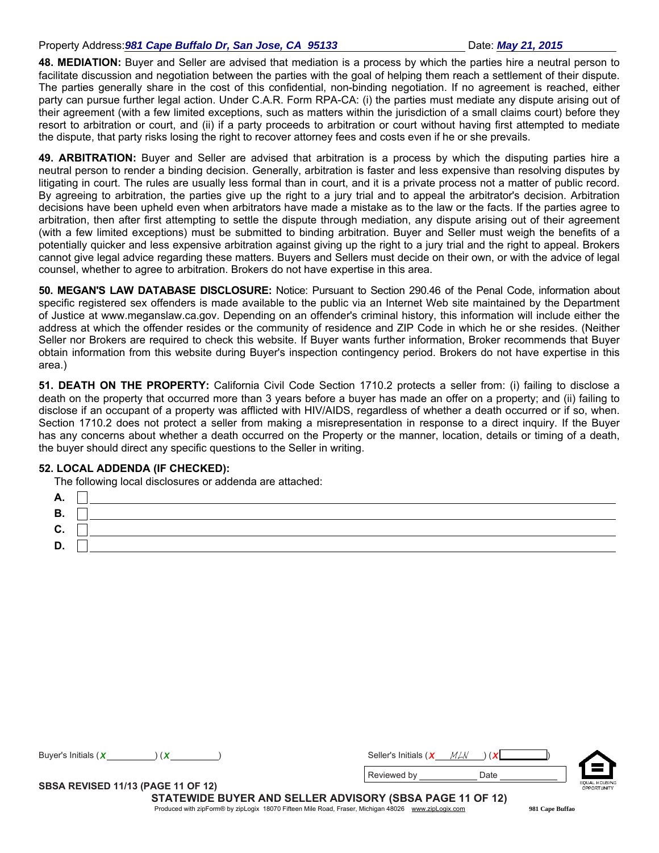**981 Cape Buffao**

48. MEDIATION: Buyer and Seller are advised that mediation is a process by which the parties hire a neutral person to facilitate discussion and negotiation between the parties with the goal of helping them reach a settlement of their dispute. The parties generally share in the cost of this confidential, non-binding negotiation. If no agreement is reached, either party can pursue further legal action. Under C.A.R. Form RPA-CA: (i) the parties must mediate any dispute arising out of their agreement (with a few limited exceptions, such as matters within the jurisdiction of a small claims court) before they resort to arbitration or court, and (ii) if a party proceeds to arbitration or court without having first attempted to mediate the dispute, that party risks losing the right to recover attorney fees and costs even if he or she prevails.

49. ARBITRATION: Buyer and Seller are advised that arbitration is a process by which the disputing parties hire a neutral person to render a binding decision. Generally, arbitration is faster and less expensive than resolving disputes by litigating in court. The rules are usually less formal than in court, and it is a private process not a matter of public record. By agreeing to arbitration, the parties give up the right to a jury trial and to appeal the arbitrator's decision. Arbitration decisions have been upheld even when arbitrators have made a mistake as to the law or the facts. If the parties agree to arbitration, then after first attempting to settle the dispute through mediation, any dispute arising out of their agreement (with a few limited exceptions) must be submitted to binding arbitration. Buyer and Seller must weigh the benefits of a potentially quicker and less expensive arbitration against giving up the right to a jury trial and the right to appeal. Brokers cannot give legal advice regarding these matters. Buyers and Sellers must decide on their own, or with the advice of legal counsel, whether to agree to arbitration. Brokers do not have expertise in this area.

50. MEGAN'S LAW DATABASE DISCLOSURE: Notice: Pursuant to Section 290.46 of the Penal Code, information about specific registered sex offenders is made available to the public via an Internet Web site maintained by the Department of Justice at www.meganslaw.ca.gov. Depending on an offender's criminal history, this information will include either the address at which the offender resides or the community of residence and ZIP Code in which he or she resides. (Neither Seller nor Brokers are required to check this website. If Buyer wants further information, Broker recommends that Buyer obtain information from this website during Buyer's inspection contingency period. Brokers do not have expertise in this area.)

51. DEATH ON THE PROPERTY: California Civil Code Section 1710.2 protects a seller from: (i) failing to disclose a death on the property that occurred more than 3 years before a buyer has made an offer on a property; and (ii) failing to disclose if an occupant of a property was afflicted with HIV/AIDS, regardless of whether a death occurred or if so, when. Section 1710.2 does not protect a seller from making a misrepresentation in response to a direct inquiry. If the Buyer has any concerns about whether a death occurred on the Property or the manner, location, details or timing of a death, the buyer should direct any specific questions to the Seller in writing.

## 52. LOCAL ADDENDA (IF CHECKED):

The following local disclosures or addenda are attached:

| м.           |  |
|--------------|--|
| В.           |  |
| $\sim$<br>v. |  |
| D.           |  |

| Buver's Initials (X                                      | Seller's Initials (X) |      |                                     |  |  |  |  |
|----------------------------------------------------------|-----------------------|------|-------------------------------------|--|--|--|--|
|                                                          | Reviewed by           | Date |                                     |  |  |  |  |
| <b>SBSA REVISED 11/13 (PAGE 11 OF 12)</b>                |                       |      | EQUAL HOUSING<br><b>OPPORTUNITY</b> |  |  |  |  |
| STATEWIDE BUYER AND SELLER ADVISORY (SBSA PAGE 11 OF 12) |                       |      |                                     |  |  |  |  |